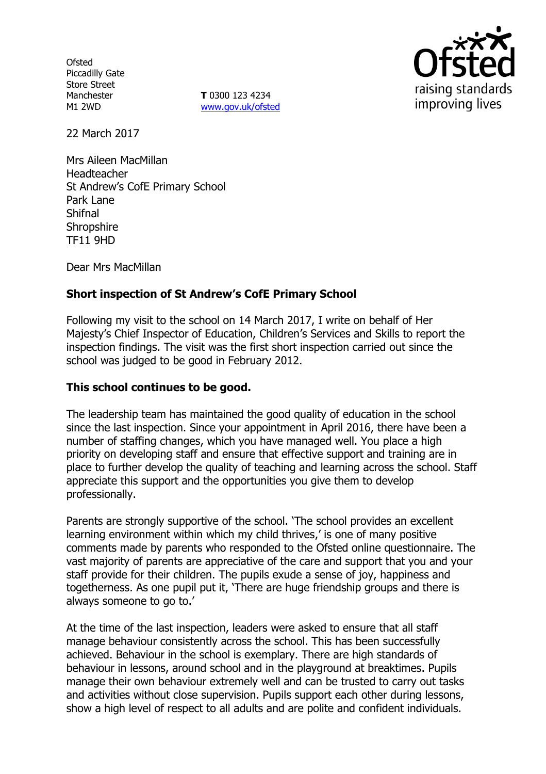**Ofsted** Piccadilly Gate Store Street Manchester M1 2WD

**T** 0300 123 4234 www.gov.uk/ofsted



22 March 2017

Mrs Aileen MacMillan Headteacher St Andrew's CofE Primary School Park Lane Shifnal **Shropshire** TF11 9HD

Dear Mrs MacMillan

# **Short inspection of St Andrew's CofE Primary School**

Following my visit to the school on 14 March 2017, I write on behalf of Her Majesty's Chief Inspector of Education, Children's Services and Skills to report the inspection findings. The visit was the first short inspection carried out since the school was judged to be good in February 2012.

## **This school continues to be good.**

The leadership team has maintained the good quality of education in the school since the last inspection. Since your appointment in April 2016, there have been a number of staffing changes, which you have managed well. You place a high priority on developing staff and ensure that effective support and training are in place to further develop the quality of teaching and learning across the school. Staff appreciate this support and the opportunities you give them to develop professionally.

Parents are strongly supportive of the school. 'The school provides an excellent learning environment within which my child thrives,' is one of many positive comments made by parents who responded to the Ofsted online questionnaire. The vast majority of parents are appreciative of the care and support that you and your staff provide for their children. The pupils exude a sense of joy, happiness and togetherness. As one pupil put it, 'There are huge friendship groups and there is always someone to go to.'

At the time of the last inspection, leaders were asked to ensure that all staff manage behaviour consistently across the school. This has been successfully achieved. Behaviour in the school is exemplary. There are high standards of behaviour in lessons, around school and in the playground at breaktimes. Pupils manage their own behaviour extremely well and can be trusted to carry out tasks and activities without close supervision. Pupils support each other during lessons, show a high level of respect to all adults and are polite and confident individuals.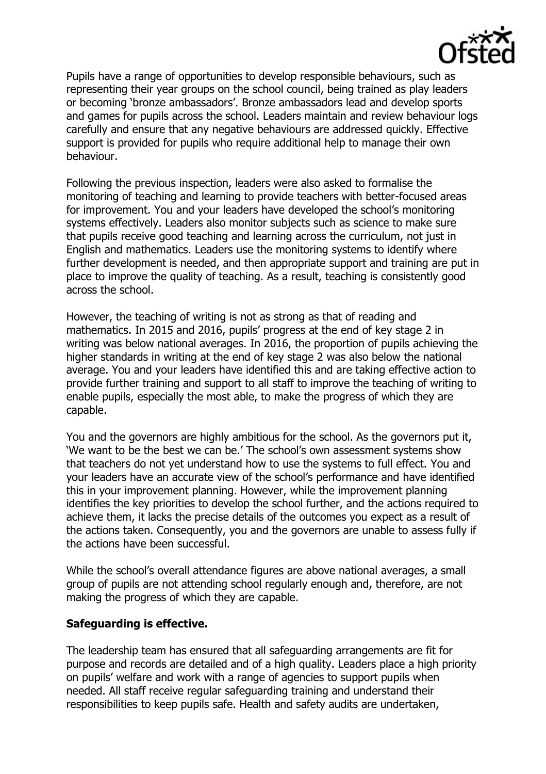

Pupils have a range of opportunities to develop responsible behaviours, such as representing their year groups on the school council, being trained as play leaders or becoming 'bronze ambassadors'. Bronze ambassadors lead and develop sports and games for pupils across the school. Leaders maintain and review behaviour logs carefully and ensure that any negative behaviours are addressed quickly. Effective support is provided for pupils who require additional help to manage their own behaviour.

Following the previous inspection, leaders were also asked to formalise the monitoring of teaching and learning to provide teachers with better-focused areas for improvement. You and your leaders have developed the school's monitoring systems effectively. Leaders also monitor subjects such as science to make sure that pupils receive good teaching and learning across the curriculum, not just in English and mathematics. Leaders use the monitoring systems to identify where further development is needed, and then appropriate support and training are put in place to improve the quality of teaching. As a result, teaching is consistently good across the school.

However, the teaching of writing is not as strong as that of reading and mathematics. In 2015 and 2016, pupils' progress at the end of key stage 2 in writing was below national averages. In 2016, the proportion of pupils achieving the higher standards in writing at the end of key stage 2 was also below the national average. You and your leaders have identified this and are taking effective action to provide further training and support to all staff to improve the teaching of writing to enable pupils, especially the most able, to make the progress of which they are capable.

You and the governors are highly ambitious for the school. As the governors put it, 'We want to be the best we can be.' The school's own assessment systems show that teachers do not yet understand how to use the systems to full effect. You and your leaders have an accurate view of the school's performance and have identified this in your improvement planning. However, while the improvement planning identifies the key priorities to develop the school further, and the actions required to achieve them, it lacks the precise details of the outcomes you expect as a result of the actions taken. Consequently, you and the governors are unable to assess fully if the actions have been successful.

While the school's overall attendance figures are above national averages, a small group of pupils are not attending school regularly enough and, therefore, are not making the progress of which they are capable.

#### **Safeguarding is effective.**

The leadership team has ensured that all safeguarding arrangements are fit for purpose and records are detailed and of a high quality. Leaders place a high priority on pupils' welfare and work with a range of agencies to support pupils when needed. All staff receive regular safeguarding training and understand their responsibilities to keep pupils safe. Health and safety audits are undertaken,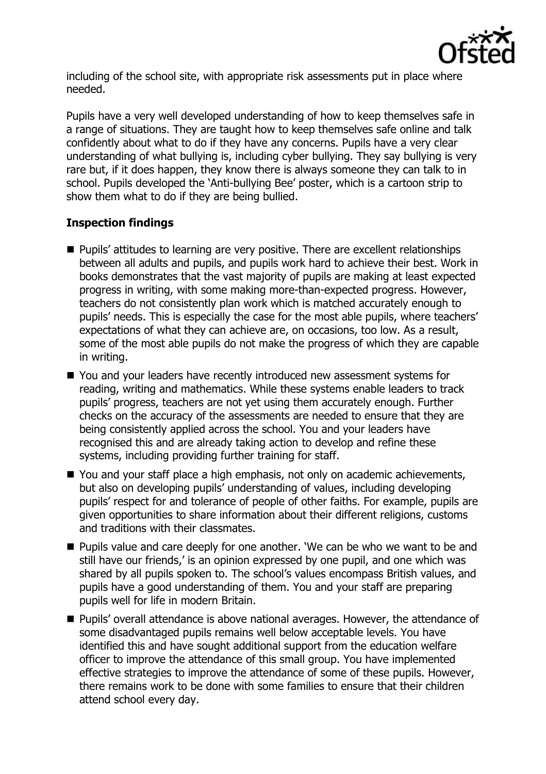

including of the school site, with appropriate risk assessments put in place where needed.

Pupils have a very well developed understanding of how to keep themselves safe in a range of situations. They are taught how to keep themselves safe online and talk confidently about what to do if they have any concerns. Pupils have a very clear understanding of what bullying is, including cyber bullying. They say bullying is very rare but, if it does happen, they know there is always someone they can talk to in school. Pupils developed the 'Anti-bullying Bee' poster, which is a cartoon strip to show them what to do if they are being bullied.

### **Inspection findings**

- **Pupils'** attitudes to learning are very positive. There are excellent relationships between all adults and pupils, and pupils work hard to achieve their best. Work in books demonstrates that the vast majority of pupils are making at least expected progress in writing, with some making more-than-expected progress. However, teachers do not consistently plan work which is matched accurately enough to pupils' needs. This is especially the case for the most able pupils, where teachers' expectations of what they can achieve are, on occasions, too low. As a result, some of the most able pupils do not make the progress of which they are capable in writing.
- You and your leaders have recently introduced new assessment systems for reading, writing and mathematics. While these systems enable leaders to track pupils' progress, teachers are not yet using them accurately enough. Further checks on the accuracy of the assessments are needed to ensure that they are being consistently applied across the school. You and your leaders have recognised this and are already taking action to develop and refine these systems, including providing further training for staff.
- You and your staff place a high emphasis, not only on academic achievements, but also on developing pupils' understanding of values, including developing pupils' respect for and tolerance of people of other faiths. For example, pupils are given opportunities to share information about their different religions, customs and traditions with their classmates.
- Pupils value and care deeply for one another. 'We can be who we want to be and still have our friends,' is an opinion expressed by one pupil, and one which was shared by all pupils spoken to. The school's values encompass British values, and pupils have a good understanding of them. You and your staff are preparing pupils well for life in modern Britain.
- **Pupils'** overall attendance is above national averages. However, the attendance of some disadvantaged pupils remains well below acceptable levels. You have identified this and have sought additional support from the education welfare officer to improve the attendance of this small group. You have implemented effective strategies to improve the attendance of some of these pupils. However, there remains work to be done with some families to ensure that their children attend school every day.